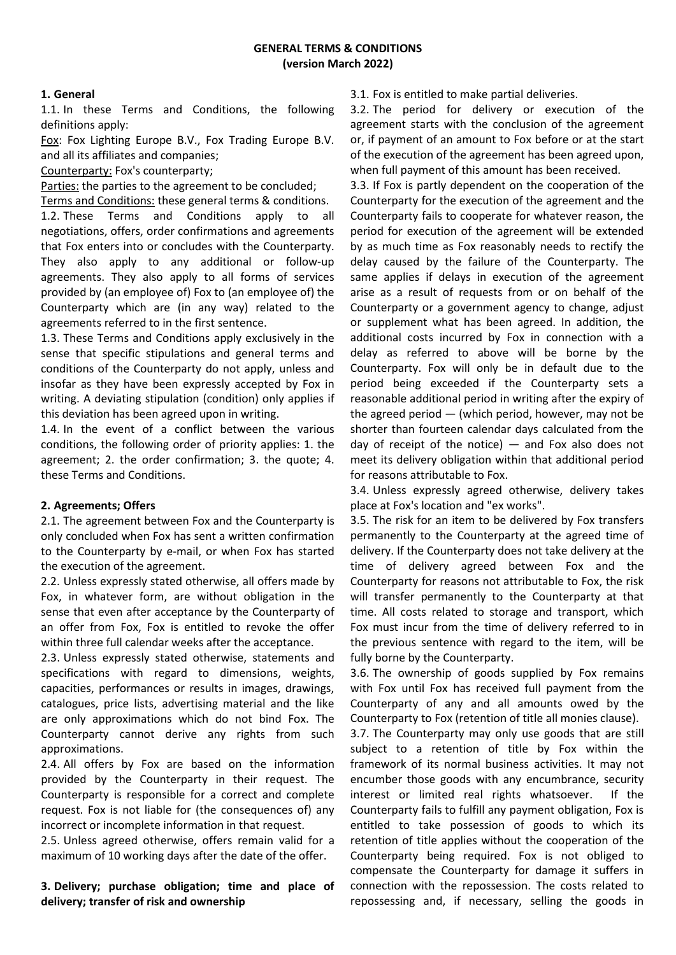# **1. General**

1.1. In these Terms and Conditions, the following definitions apply:

Fox: Fox Lighting Europe B.V., Fox Trading Europe B.V. and all its affiliates and companies;

Counterparty: Fox's counterparty;

Parties: the parties to the agreement to be concluded;

Terms and Conditions: these general terms & conditions.

1.2. These Terms and Conditions apply to all negotiations, offers, order confirmations and agreements that Fox enters into or concludes with the Counterparty. They also apply to any additional or follow-up agreements. They also apply to all forms of services provided by (an employee of) Fox to (an employee of) the Counterparty which are (in any way) related to the agreements referred to in the first sentence.

1.3. These Terms and Conditions apply exclusively in the sense that specific stipulations and general terms and conditions of the Counterparty do not apply, unless and insofar as they have been expressly accepted by Fox in writing. A deviating stipulation (condition) only applies if this deviation has been agreed upon in writing.

1.4. In the event of a conflict between the various conditions, the following order of priority applies: 1. the agreement; 2. the order confirmation; 3. the quote; 4. these Terms and Conditions.

### **2. Agreements; Offers**

2.1. The agreement between Fox and the Counterparty is only concluded when Fox has sent a written confirmation to the Counterparty by e-mail, or when Fox has started the execution of the agreement.

2.2. Unless expressly stated otherwise, all offers made by Fox, in whatever form, are without obligation in the sense that even after acceptance by the Counterparty of an offer from Fox, Fox is entitled to revoke the offer within three full calendar weeks after the acceptance.

2.3. Unless expressly stated otherwise, statements and specifications with regard to dimensions, weights, capacities, performances or results in images, drawings, catalogues, price lists, advertising material and the like are only approximations which do not bind Fox. The Counterparty cannot derive any rights from such approximations.

2.4. All offers by Fox are based on the information provided by the Counterparty in their request. The Counterparty is responsible for a correct and complete request. Fox is not liable for (the consequences of) any incorrect or incomplete information in that request.

2.5. Unless agreed otherwise, offers remain valid for a maximum of 10 working days after the date of the offer.

**3. Delivery; purchase obligation; time and place of delivery; transfer of risk and ownership**

3.1. Fox is entitled to make partial deliveries.

3.2. The period for delivery or execution of the agreement starts with the conclusion of the agreement or, if payment of an amount to Fox before or at the start of the execution of the agreement has been agreed upon, when full payment of this amount has been received.

3.3. If Fox is partly dependent on the cooperation of the Counterparty for the execution of the agreement and the Counterparty fails to cooperate for whatever reason, the period for execution of the agreement will be extended by as much time as Fox reasonably needs to rectify the delay caused by the failure of the Counterparty. The same applies if delays in execution of the agreement arise as a result of requests from or on behalf of the Counterparty or a government agency to change, adjust or supplement what has been agreed. In addition, the additional costs incurred by Fox in connection with a delay as referred to above will be borne by the Counterparty. Fox will only be in default due to the period being exceeded if the Counterparty sets a reasonable additional period in writing after the expiry of the agreed period — (which period, however, may not be shorter than fourteen calendar days calculated from the day of receipt of the notice) — and Fox also does not meet its delivery obligation within that additional period for reasons attributable to Fox.

3.4. Unless expressly agreed otherwise, delivery takes place at Fox's location and "ex works".

3.5. The risk for an item to be delivered by Fox transfers permanently to the Counterparty at the agreed time of delivery. If the Counterparty does not take delivery at the time of delivery agreed between Fox and the Counterparty for reasons not attributable to Fox, the risk will transfer permanently to the Counterparty at that time. All costs related to storage and transport, which Fox must incur from the time of delivery referred to in the previous sentence with regard to the item, will be fully borne by the Counterparty.

3.6. The ownership of goods supplied by Fox remains with Fox until Fox has received full payment from the Counterparty of any and all amounts owed by the Counterparty to Fox (retention of title all monies clause).

3.7. The Counterparty may only use goods that are still subject to a retention of title by Fox within the framework of its normal business activities. It may not encumber those goods with any encumbrance, security interest or limited real rights whatsoever. If the Counterparty fails to fulfill any payment obligation, Fox is entitled to take possession of goods to which its retention of title applies without the cooperation of the Counterparty being required. Fox is not obliged to compensate the Counterparty for damage it suffers in connection with the repossession. The costs related to repossessing and, if necessary, selling the goods in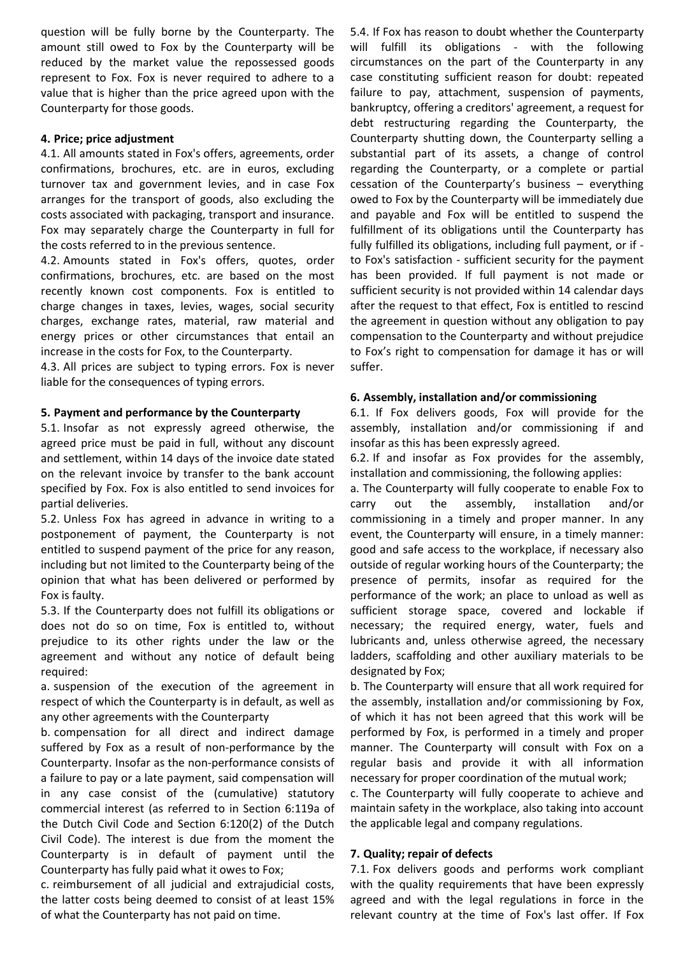question will be fully borne by the Counterparty. The amount still owed to Fox by the Counterparty will be reduced by the market value the repossessed goods represent to Fox. Fox is never required to adhere to a value that is higher than the price agreed upon with the Counterparty for those goods.

## **4. Price; price adjustment**

4.1. All amounts stated in Fox's offers, agreements, order confirmations, brochures, etc. are in euros, excluding turnover tax and government levies, and in case Fox arranges for the transport of goods, also excluding the costs associated with packaging, transport and insurance. Fox may separately charge the Counterparty in full for the costs referred to in the previous sentence.

4.2. Amounts stated in Fox's offers, quotes, order confirmations, brochures, etc. are based on the most recently known cost components. Fox is entitled to charge changes in taxes, levies, wages, social security charges, exchange rates, material, raw material and energy prices or other circumstances that entail an increase in the costs for Fox, to the Counterparty.

4.3. All prices are subject to typing errors. Fox is never liable for the consequences of typing errors.

### **5. Payment and performance by the Counterparty**

5.1. Insofar as not expressly agreed otherwise, the agreed price must be paid in full, without any discount and settlement, within 14 days of the invoice date stated on the relevant invoice by transfer to the bank account specified by Fox. Fox is also entitled to send invoices for partial deliveries.

5.2. Unless Fox has agreed in advance in writing to a postponement of payment, the Counterparty is not entitled to suspend payment of the price for any reason, including but not limited to the Counterparty being of the opinion that what has been delivered or performed by Fox is faulty.

5.3. If the Counterparty does not fulfill its obligations or does not do so on time, Fox is entitled to, without prejudice to its other rights under the law or the agreement and without any notice of default being required:

a. suspension of the execution of the agreement in respect of which the Counterparty is in default, as well as any other agreements with the Counterparty

b. compensation for all direct and indirect damage suffered by Fox as a result of non-performance by the Counterparty. Insofar as the non-performance consists of a failure to pay or a late payment, said compensation will in any case consist of the (cumulative) statutory commercial interest (as referred to in Section 6:119a of the Dutch Civil Code and Section 6:120(2) of the Dutch Civil Code). The interest is due from the moment the Counterparty is in default of payment until the Counterparty has fully paid what it owes to Fox;

c. reimbursement of all judicial and extrajudicial costs, the latter costs being deemed to consist of at least 15% of what the Counterparty has not paid on time.

5.4. If Fox has reason to doubt whether the Counterparty will fulfill its obligations - with the following circumstances on the part of the Counterparty in any case constituting sufficient reason for doubt: repeated failure to pay, attachment, suspension of payments, bankruptcy, offering a creditors' agreement, a request for debt restructuring regarding the Counterparty, the Counterparty shutting down, the Counterparty selling a substantial part of its assets, a change of control regarding the Counterparty, or a complete or partial cessation of the Counterparty's business – everything owed to Fox by the Counterparty will be immediately due and payable and Fox will be entitled to suspend the fulfillment of its obligations until the Counterparty has fully fulfilled its obligations, including full payment, or if to Fox's satisfaction - sufficient security for the payment has been provided. If full payment is not made or sufficient security is not provided within 14 calendar days after the request to that effect, Fox is entitled to rescind the agreement in question without any obligation to pay compensation to the Counterparty and without prejudice to Fox's right to compensation for damage it has or will suffer.

### **6. Assembly, installation and/or commissioning**

6.1. If Fox delivers goods, Fox will provide for the assembly, installation and/or commissioning if and insofar as this has been expressly agreed.

6.2. If and insofar as Fox provides for the assembly, installation and commissioning, the following applies:

a. The Counterparty will fully cooperate to enable Fox to carry out the assembly, installation and/or commissioning in a timely and proper manner. In any event, the Counterparty will ensure, in a timely manner: good and safe access to the workplace, if necessary also outside of regular working hours of the Counterparty; the presence of permits, insofar as required for the performance of the work; an place to unload as well as sufficient storage space, covered and lockable if necessary; the required energy, water, fuels and lubricants and, unless otherwise agreed, the necessary ladders, scaffolding and other auxiliary materials to be designated by Fox;

b. The Counterparty will ensure that all work required for the assembly, installation and/or commissioning by Fox, of which it has not been agreed that this work will be performed by Fox, is performed in a timely and proper manner. The Counterparty will consult with Fox on a regular basis and provide it with all information necessary for proper coordination of the mutual work;

c. The Counterparty will fully cooperate to achieve and maintain safety in the workplace, also taking into account the applicable legal and company regulations.

# **7. Quality; repair of defects**

7.1. Fox delivers goods and performs work compliant with the quality requirements that have been expressly agreed and with the legal regulations in force in the relevant country at the time of Fox's last offer. If Fox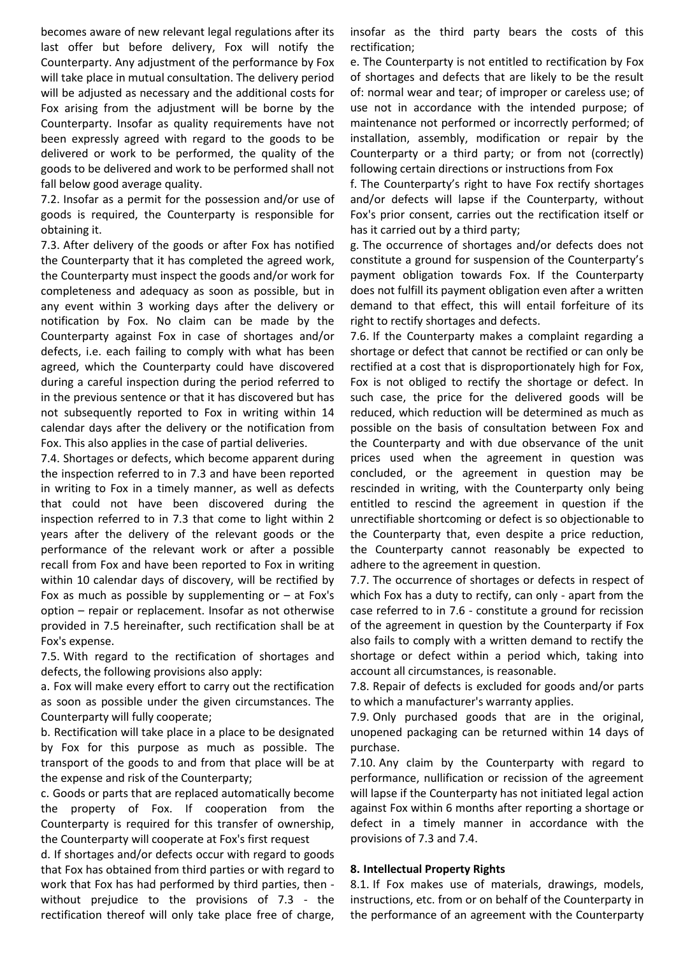becomes aware of new relevant legal regulations after its last offer but before delivery, Fox will notify the Counterparty. Any adjustment of the performance by Fox will take place in mutual consultation. The delivery period will be adjusted as necessary and the additional costs for Fox arising from the adjustment will be borne by the Counterparty. Insofar as quality requirements have not been expressly agreed with regard to the goods to be delivered or work to be performed, the quality of the goods to be delivered and work to be performed shall not fall below good average quality.

7.2. Insofar as a permit for the possession and/or use of goods is required, the Counterparty is responsible for obtaining it.

7.3. After delivery of the goods or after Fox has notified the Counterparty that it has completed the agreed work, the Counterparty must inspect the goods and/or work for completeness and adequacy as soon as possible, but in any event within 3 working days after the delivery or notification by Fox. No claim can be made by the Counterparty against Fox in case of shortages and/or defects, i.e. each failing to comply with what has been agreed, which the Counterparty could have discovered during a careful inspection during the period referred to in the previous sentence or that it has discovered but has not subsequently reported to Fox in writing within 14 calendar days after the delivery or the notification from Fox. This also applies in the case of partial deliveries.

7.4. Shortages or defects, which become apparent during the inspection referred to in 7.3 and have been reported in writing to Fox in a timely manner, as well as defects that could not have been discovered during the inspection referred to in 7.3 that come to light within 2 years after the delivery of the relevant goods or the performance of the relevant work or after a possible recall from Fox and have been reported to Fox in writing within 10 calendar days of discovery, will be rectified by Fox as much as possible by supplementing or  $-$  at Fox's option – repair or replacement. Insofar as not otherwise provided in 7.5 hereinafter, such rectification shall be at Fox's expense.

7.5. With regard to the rectification of shortages and defects, the following provisions also apply:

a. Fox will make every effort to carry out the rectification as soon as possible under the given circumstances. The Counterparty will fully cooperate;

b. Rectification will take place in a place to be designated by Fox for this purpose as much as possible. The transport of the goods to and from that place will be at the expense and risk of the Counterparty;

c. Goods or parts that are replaced automatically become the property of Fox. If cooperation from the Counterparty is required for this transfer of ownership, the Counterparty will cooperate at Fox's first request

d. If shortages and/or defects occur with regard to goods that Fox has obtained from third parties or with regard to work that Fox has had performed by third parties, then without prejudice to the provisions of 7.3 - the rectification thereof will only take place free of charge, insofar as the third party bears the costs of this rectification;

e. The Counterparty is not entitled to rectification by Fox of shortages and defects that are likely to be the result of: normal wear and tear; of improper or careless use; of use not in accordance with the intended purpose; of maintenance not performed or incorrectly performed; of installation, assembly, modification or repair by the Counterparty or a third party; or from not (correctly) following certain directions or instructions from Fox

f. The Counterparty's right to have Fox rectify shortages and/or defects will lapse if the Counterparty, without Fox's prior consent, carries out the rectification itself or has it carried out by a third party;

g. The occurrence of shortages and/or defects does not constitute a ground for suspension of the Counterparty's payment obligation towards Fox. If the Counterparty does not fulfill its payment obligation even after a written demand to that effect, this will entail forfeiture of its right to rectify shortages and defects.

7.6. If the Counterparty makes a complaint regarding a shortage or defect that cannot be rectified or can only be rectified at a cost that is disproportionately high for Fox, Fox is not obliged to rectify the shortage or defect. In such case, the price for the delivered goods will be reduced, which reduction will be determined as much as possible on the basis of consultation between Fox and the Counterparty and with due observance of the unit prices used when the agreement in question was concluded, or the agreement in question may be rescinded in writing, with the Counterparty only being entitled to rescind the agreement in question if the unrectifiable shortcoming or defect is so objectionable to the Counterparty that, even despite a price reduction, the Counterparty cannot reasonably be expected to adhere to the agreement in question.

7.7. The occurrence of shortages or defects in respect of which Fox has a duty to rectify, can only - apart from the case referred to in 7.6 - constitute a ground for recission of the agreement in question by the Counterparty if Fox also fails to comply with a written demand to rectify the shortage or defect within a period which, taking into account all circumstances, is reasonable.

7.8. Repair of defects is excluded for goods and/or parts to which a manufacturer's warranty applies.

7.9. Only purchased goods that are in the original, unopened packaging can be returned within 14 days of purchase.

7.10. Any claim by the Counterparty with regard to performance, nullification or recission of the agreement will lapse if the Counterparty has not initiated legal action against Fox within 6 months after reporting a shortage or defect in a timely manner in accordance with the provisions of 7.3 and 7.4.

### **8. Intellectual Property Rights**

8.1. If Fox makes use of materials, drawings, models, instructions, etc. from or on behalf of the Counterparty in the performance of an agreement with the Counterparty